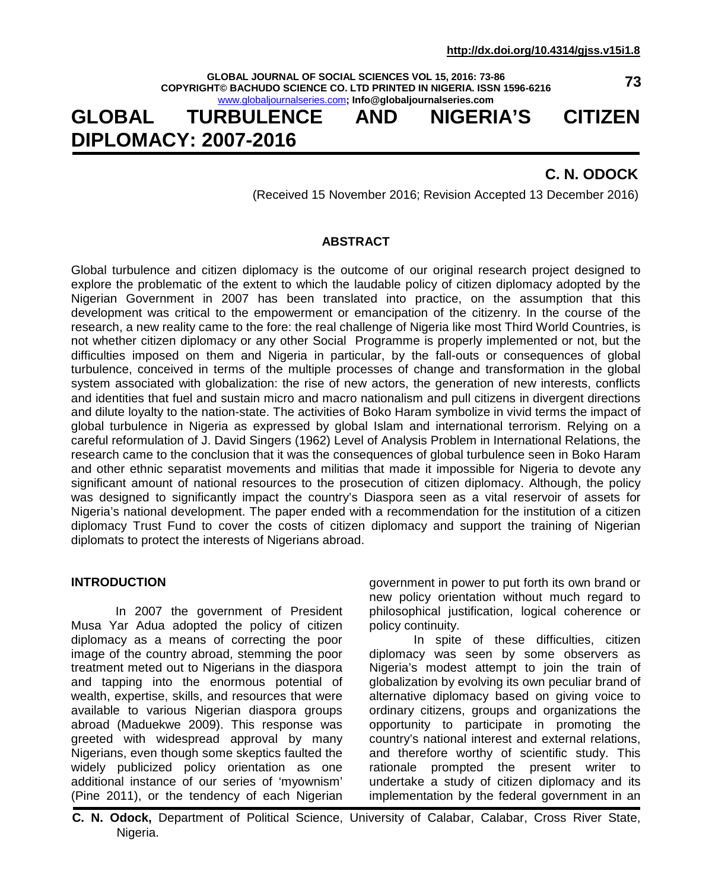**GLOBAL JOURNAL OF SOCIAL SCIENCES VOL 15, 2016: 73-86 COPYRIGHT© BACHUDO SCIENCE CO. LTD PRINTED IN NIGERIA. ISSN 1596-6216** www.globaljournalseries.com**; Info@globaljournalseries.com**

**73**

# **GLOBAL TURBULENCE AND NIGERIA'S CITIZEN DIPLOMACY: 2007-2016**

## **C. N. ODOCK**

(Received 15 November 2016; Revision Accepted 13 December 2016)

#### **ABSTRACT**

Global turbulence and citizen diplomacy is the outcome of our original research project designed to explore the problematic of the extent to which the laudable policy of citizen diplomacy adopted by the Nigerian Government in 2007 has been translated into practice, on the assumption that this development was critical to the empowerment or emancipation of the citizenry. In the course of the research, a new reality came to the fore: the real challenge of Nigeria like most Third World Countries, is not whether citizen diplomacy or any other Social Programme is properly implemented or not, but the difficulties imposed on them and Nigeria in particular, by the fall-outs or consequences of global turbulence, conceived in terms of the multiple processes of change and transformation in the global system associated with globalization: the rise of new actors, the generation of new interests, conflicts and identities that fuel and sustain micro and macro nationalism and pull citizens in divergent directions and dilute loyalty to the nation-state. The activities of Boko Haram symbolize in vivid terms the impact of global turbulence in Nigeria as expressed by global Islam and international terrorism. Relying on a careful reformulation of J. David Singers (1962) Level of Analysis Problem in International Relations, the research came to the conclusion that it was the consequences of global turbulence seen in Boko Haram and other ethnic separatist movements and militias that made it impossible for Nigeria to devote any significant amount of national resources to the prosecution of citizen diplomacy. Although, the policy was designed to significantly impact the country's Diaspora seen as a vital reservoir of assets for Nigeria's national development. The paper ended with a recommendation for the institution of a citizen diplomacy Trust Fund to cover the costs of citizen diplomacy and support the training of Nigerian diplomats to protect the interests of Nigerians abroad.

#### **INTRODUCTION**

In 2007 the government of President Musa Yar Adua adopted the policy of citizen diplomacy as a means of correcting the poor image of the country abroad, stemming the poor treatment meted out to Nigerians in the diaspora and tapping into the enormous potential of wealth, expertise, skills, and resources that were available to various Nigerian diaspora groups abroad (Maduekwe 2009). This response was greeted with widespread approval by many Nigerians, even though some skeptics faulted the widely publicized policy orientation as one additional instance of our series of 'myownism' (Pine 2011), or the tendency of each Nigerian

government in power to put forth its own brand or new policy orientation without much regard to philosophical justification, logical coherence or policy continuity.

In spite of these difficulties, citizen diplomacy was seen by some observers as Nigeria's modest attempt to join the train of globalization by evolving its own peculiar brand of alternative diplomacy based on giving voice to ordinary citizens, groups and organizations the opportunity to participate in promoting the country's national interest and external relations, and therefore worthy of scientific study. This rationale prompted the present writer to undertake a study of citizen diplomacy and its implementation by the federal government in an

**C. N. Odock,** Department of Political Science, University of Calabar, Calabar, Cross River State, Nigeria.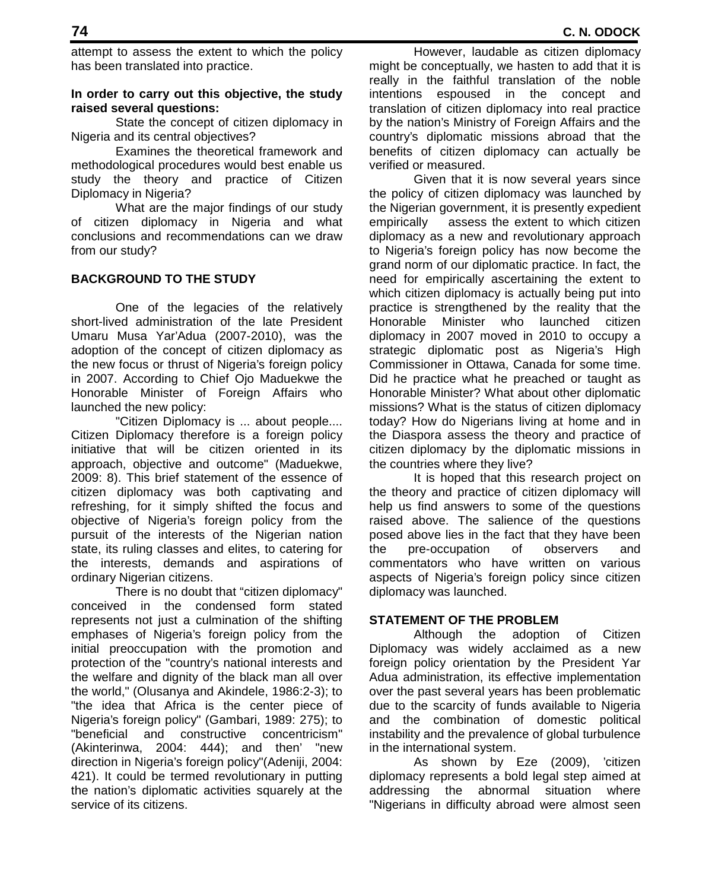attempt to assess the extent to which the policy has been translated into practice.

#### **In order to carry out this objective, the study raised several questions:**

State the concept of citizen diplomacy in Nigeria and its central objectives?

Examines the theoretical framework and methodological procedures would best enable us study the theory and practice of Citizen Diplomacy in Nigeria?

What are the major findings of our study of citizen diplomacy in Nigeria and what conclusions and recommendations can we draw from our study?

#### **BACKGROUND TO THE STUDY**

One of the legacies of the relatively short-lived administration of the late President Umaru Musa Yar'Adua (2007-2010), was the adoption of the concept of citizen diplomacy as the new focus or thrust of Nigeria's foreign policy in 2007. According to Chief Ojo Maduekwe the Honorable Minister of Foreign Affairs who launched the new policy:

"Citizen Diplomacy is ... about people.... Citizen Diplomacy therefore is a foreign policy initiative that will be citizen oriented in its approach, objective and outcome" (Maduekwe, 2009: 8). This brief statement of the essence of citizen diplomacy was both captivating and refreshing, for it simply shifted the focus and objective of Nigeria's foreign policy from the pursuit of the interests of the Nigerian nation state, its ruling classes and elites, to catering for the interests, demands and aspirations of ordinary Nigerian citizens.

There is no doubt that "citizen diplomacy" conceived in the condensed form stated represents not just a culmination of the shifting emphases of Nigeria's foreign policy from the initial preoccupation with the promotion and protection of the "country's national interests and the welfare and dignity of the black man all over the world," (Olusanya and Akindele, 1986:2-3); to "the idea that Africa is the center piece of Nigeria's foreign policy" (Gambari, 1989: 275); to "beneficial and constructive concentricism" (Akinterinwa, 2004: 444); and then' "new direction in Nigeria's foreign policy"(Adeniji, 2004: 421). It could be termed revolutionary in putting the nation's diplomatic activities squarely at the service of its citizens.

However, laudable as citizen diplomacy might be conceptually, we hasten to add that it is really in the faithful translation of the noble intentions espoused in the concept and translation of citizen diplomacy into real practice by the nation's Ministry of Foreign Affairs and the country's diplomatic missions abroad that the benefits of citizen diplomacy can actually be verified or measured.

Given that it is now several years since the policy of citizen diplomacy was launched by the Nigerian government, it is presently expedient empirically assess the extent to which citizen diplomacy as a new and revolutionary approach to Nigeria's foreign policy has now become the grand norm of our diplomatic practice. In fact, the need for empirically ascertaining the extent to which citizen diplomacy is actually being put into practice is strengthened by the reality that the Honorable Minister who launched citizen diplomacy in 2007 moved in 2010 to occupy a strategic diplomatic post as Nigeria's High Commissioner in Ottawa, Canada for some time. Did he practice what he preached or taught as Honorable Minister? What about other diplomatic missions? What is the status of citizen diplomacy today? How do Nigerians living at home and in the Diaspora assess the theory and practice of citizen diplomacy by the diplomatic missions in the countries where they live?

It is hoped that this research project on the theory and practice of citizen diplomacy will help us find answers to some of the questions raised above. The salience of the questions posed above lies in the fact that they have been pre-occupation of observers and commentators who have written on various aspects of Nigeria's foreign policy since citizen diplomacy was launched.

#### **STATEMENT OF THE PROBLEM**

Although the adoption of Citizen Diplomacy was widely acclaimed as a new foreign policy orientation by the President Yar Adua administration, its effective implementation over the past several years has been problematic due to the scarcity of funds available to Nigeria and the combination of domestic political instability and the prevalence of global turbulence in the international system.

As shown by Eze (2009), 'citizen diplomacy represents a bold legal step aimed at addressing the abnormal situation where "Nigerians in difficulty abroad were almost seen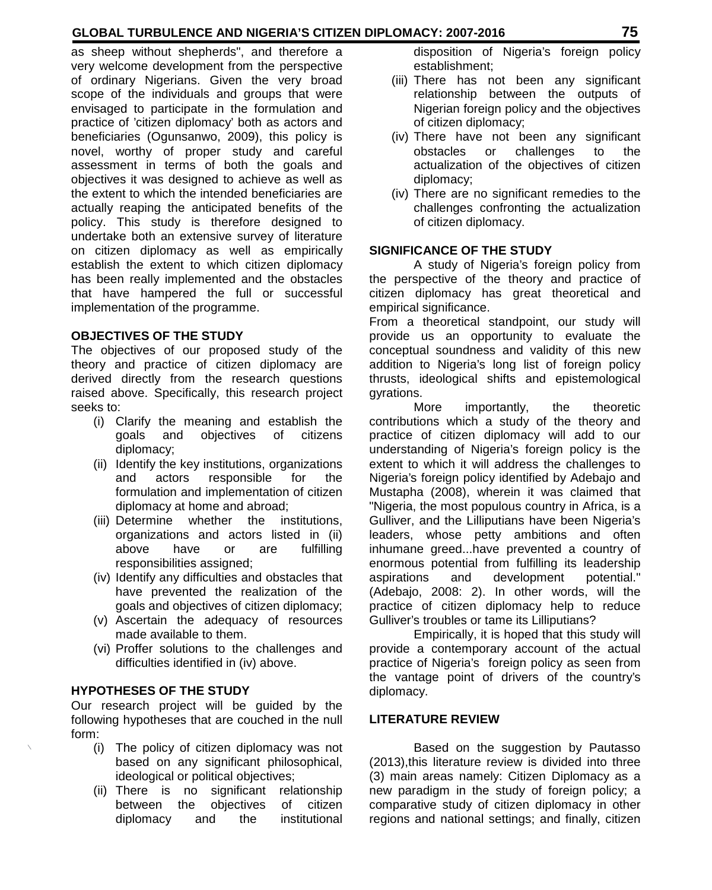as sheep without shepherds", and therefore a very welcome development from the perspective of ordinary Nigerians. Given the very broad scope of the individuals and groups that were envisaged to participate in the formulation and practice of 'citizen diplomacy' both as actors and beneficiaries (Ogunsanwo, 2009), this policy is novel, worthy of proper study and careful assessment in terms of both the goals and objectives it was designed to achieve as well as the extent to which the intended beneficiaries are actually reaping the anticipated benefits of the policy. This study is therefore designed to undertake both an extensive survey of literature on citizen diplomacy as well as empirically establish the extent to which citizen diplomacy has been really implemented and the obstacles that have hampered the full or successful implementation of the programme.

## **OBJECTIVES OF THE STUDY**

The objectives of our proposed study of the theory and practice of citizen diplomacy are derived directly from the research questions raised above. Specifically, this research project seeks to:

- (i) Clarify the meaning and establish the goals and objectives of citizens diplomacy;
- (ii) Identify the key institutions, organizations and actors responsible for the formulation and implementation of citizen diplomacy at home and abroad;
- (iii) Determine whether the institutions, organizations and actors listed in (ii) above have or are fulfilling responsibilities assigned;
- (iv) Identify any difficulties and obstacles that have prevented the realization of the goals and objectives of citizen diplomacy;
- (v) Ascertain the adequacy of resources made available to them.
- (vi) Proffer solutions to the challenges and difficulties identified in (iv) above.

## **HYPOTHESES OF THE STUDY**

 $\sqrt{2}$ 

Our research project will be guided by the following hypotheses that are couched in the null form:

- (i) The policy of citizen diplomacy was not based on any significant philosophical, ideological or political objectives;
- (ii) There is no significant relationship between the objectives of citizen diplomacy and the institutional

disposition of Nigeria's foreign policy establishment;

- (iii) There has not been any significant relationship between the outputs of Nigerian foreign policy and the objectives of citizen diplomacy;
- (iv) There have not been any significant obstacles or challenges to the actualization of the objectives of citizen diplomacy;
- (iv) There are no significant remedies to the challenges confronting the actualization of citizen diplomacy.

#### **SIGNIFICANCE OF THE STUDY**

A study of Nigeria's foreign policy from the perspective of the theory and practice of citizen diplomacy has great theoretical and empirical significance.

From a theoretical standpoint, our study will provide us an opportunity to evaluate the conceptual soundness and validity of this new addition to Nigeria's long list of foreign policy thrusts, ideological shifts and epistemological gyrations.

More importantly, the theoretic contributions which a study of the theory and practice of citizen diplomacy will add to our understanding of Nigeria's foreign policy is the extent to which it will address the challenges to Nigeria's foreign policy identified by Adebajo and Mustapha (2008), wherein it was claimed that "Nigeria, the most populous country in Africa, is a Gulliver, and the Lilliputians have been Nigeria's leaders, whose petty ambitions and often inhumane greed...have prevented a country of enormous potential from fulfilling its leadership aspirations and development potential." (Adebajo, 2008: 2). In other words, will the practice of citizen diplomacy help to reduce Gulliver's troubles or tame its Lilliputians?

Empirically, it is hoped that this study will provide a contemporary account of the actual practice of Nigeria's foreign policy as seen from the vantage point of drivers of the country's diplomacy.

#### **LITERATURE REVIEW**

Based on the suggestion by Pautasso (2013),this literature review is divided into three (3) main areas namely: Citizen Diplomacy as a new paradigm in the study of foreign policy; a comparative study of citizen diplomacy in other regions and national settings; and finally, citizen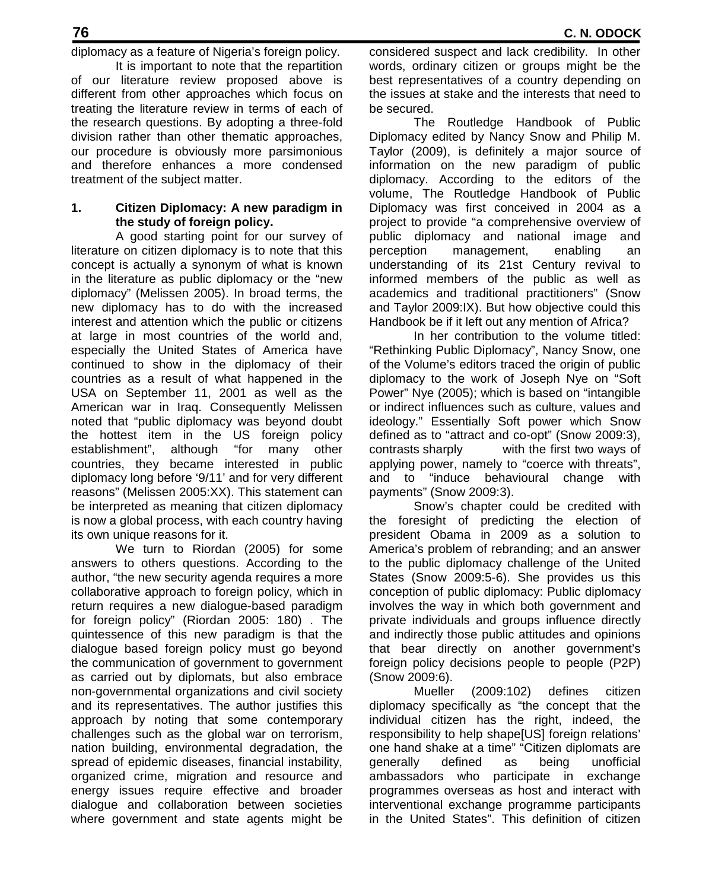It is important to note that the repartition of our literature review proposed above is different from other approaches which focus on treating the literature review in terms of each of the research questions. By adopting a three-fold division rather than other thematic approaches, our procedure is obviously more parsimonious and therefore enhances a more condensed treatment of the subject matter.

## **1. Citizen Diplomacy: A new paradigm in the study of foreign policy.**

A good starting point for our survey of literature on citizen diplomacy is to note that this concept is actually a synonym of what is known in the literature as public diplomacy or the "new diplomacy" (Melissen 2005). In broad terms, the new diplomacy has to do with the increased interest and attention which the public or citizens at large in most countries of the world and, especially the United States of America have continued to show in the diplomacy of their countries as a result of what happened in the USA on September 11, 2001 as well as the American war in Iraq. Consequently Melissen noted that "public diplomacy was beyond doubt the hottest item in the US foreign policy<br>establishment", although "for many other establishment", although "for many other countries, they became interested in public diplomacy long before '9/11' and for very different reasons" (Melissen 2005:XX). This statement can be interpreted as meaning that citizen diplomacy is now a global process, with each country having its own unique reasons for it.

We turn to Riordan (2005) for some answers to others questions. According to the author, "the new security agenda requires a more collaborative approach to foreign policy, which in return requires a new dialogue-based paradigm for foreign policy" (Riordan 2005: 180) . The quintessence of this new paradigm is that the dialogue based foreign policy must go beyond the communication of government to government as carried out by diplomats, but also embrace non-governmental organizations and civil society and its representatives. The author justifies this approach by noting that some contemporary challenges such as the global war on terrorism, nation building, environmental degradation, the spread of epidemic diseases, financial instability, organized crime, migration and resource and energy issues require effective and broader dialogue and collaboration between societies where government and state agents might be considered suspect and lack credibility. In other words, ordinary citizen or groups might be the best representatives of a country depending on the issues at stake and the interests that need to be secured.

The Routledge Handbook of Public Diplomacy edited by Nancy Snow and Philip M. Taylor (2009), is definitely a major source of information on the new paradigm of public diplomacy. According to the editors of the volume, The Routledge Handbook of Public Diplomacy was first conceived in 2004 as a project to provide "a comprehensive overview of public diplomacy and national image and management, enabling an understanding of its 21st Century revival to informed members of the public as well as academics and traditional practitioners" (Snow and Taylor 2009:IX). But how objective could this Handbook be if it left out any mention of Africa?

In her contribution to the volume titled: "Rethinking Public Diplomacy", Nancy Snow, one of the Volume's editors traced the origin of public diplomacy to the work of Joseph Nye on "Soft Power" Nye (2005); which is based on "intangible or indirect influences such as culture, values and ideology." Essentially Soft power which Snow defined as to "attract and co-opt" (Snow 2009:3), with the first two ways of applying power, namely to "coerce with threats", and to "induce behavioural change with payments" (Snow 2009:3).

Snow's chapter could be credited with the foresight of predicting the election of president Obama in 2009 as a solution to America's problem of rebranding; and an answer to the public diplomacy challenge of the United States (Snow 2009:5-6). She provides us this conception of public diplomacy: Public diplomacy involves the way in which both government and private individuals and groups influence directly and indirectly those public attitudes and opinions that bear directly on another government's foreign policy decisions people to people (P2P) (Snow 2009:6).

Mueller (2009:102) defines citizen diplomacy specifically as "the concept that the individual citizen has the right, indeed, the responsibility to help shape[US] foreign relations' one hand shake at a time" "Citizen diplomats are generally defined as being unofficial ambassadors who participate in exchange programmes overseas as host and interact with interventional exchange programme participants in the United States". This definition of citizen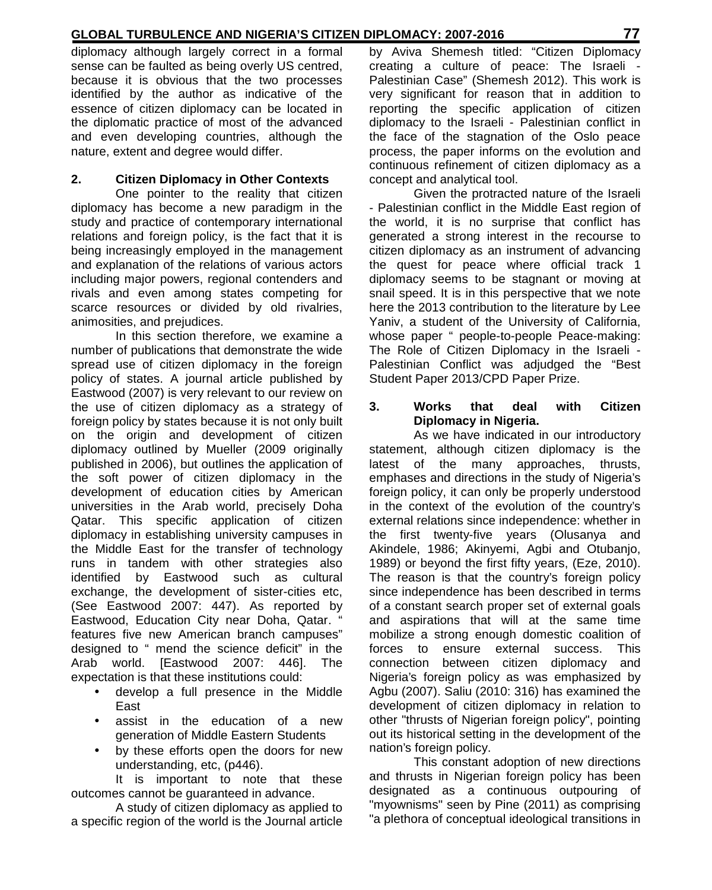diplomacy although largely correct in a formal sense can be faulted as being overly US centred, because it is obvious that the two processes identified by the author as indicative of the essence of citizen diplomacy can be located in the diplomatic practice of most of the advanced and even developing countries, although the nature, extent and degree would differ.

## **2. Citizen Diplomacy in Other Contexts**

One pointer to the reality that citizen diplomacy has become a new paradigm in the study and practice of contemporary international relations and foreign policy, is the fact that it is being increasingly employed in the management and explanation of the relations of various actors including major powers, regional contenders and rivals and even among states competing for scarce resources or divided by old rivalries, animosities, and prejudices.

In this section therefore, we examine a number of publications that demonstrate the wide spread use of citizen diplomacy in the foreign policy of states. A journal article published by Eastwood (2007) is very relevant to our review on the use of citizen diplomacy as a strategy of 3. foreign policy by states because it is not only built on the origin and development of citizen diplomacy outlined by Mueller (2009 originally published in 2006), but outlines the application of the soft power of citizen diplomacy in the development of education cities by American universities in the Arab world, precisely Doha Qatar. This specific application of citizen diplomacy in establishing university campuses in the Middle East for the transfer of technology runs in tandem with other strategies also identified by Eastwood such as cultural exchange, the development of sister-cities etc, (See Eastwood 2007: 447). As reported by Eastwood, Education City near Doha, Qatar. " features five new American branch campuses" designed to " mend the science deficit" in the Arab world. [Eastwood 2007: 446]. The expectation is that these institutions could:

- develop a full presence in the Middle East
- assist in the education of a new generation of Middle Eastern Students
- by these efforts open the doors for new understanding, etc, (p446).

It is important to note that these outcomes cannot be guaranteed in advance.

A study of citizen diplomacy as applied to a specific region of the world is the Journal article

by Aviva Shemesh titled: "Citizen Diplomacy creating a culture of peace: The Israeli - Palestinian Case" (Shemesh 2012). This work is very significant for reason that in addition to reporting the specific application of citizen diplomacy to the Israeli - Palestinian conflict in the face of the stagnation of the Oslo peace process, the paper informs on the evolution and continuous refinement of citizen diplomacy as a concept and analytical tool.

Given the protracted nature of the Israeli - Palestinian conflict in the Middle East region of the world, it is no surprise that conflict has generated a strong interest in the recourse to citizen diplomacy as an instrument of advancing the quest for peace where official track 1 diplomacy seems to be stagnant or moving at snail speed. It is in this perspective that we note here the 2013 contribution to the literature by Lee Yaniv, a student of the University of California, whose paper " people-to-people Peace-making: The Role of Citizen Diplomacy in the Israeli - Palestinian Conflict was adjudged the "Best Student Paper 2013/CPD Paper Prize.

## **3. Works that deal with Citizen Diplomacy in Nigeria.**

As we have indicated in our introductory statement, although citizen diplomacy is the latest of the many approaches, thrusts, emphases and directions in the study of Nigeria's foreign policy, it can only be properly understood in the context of the evolution of the country's external relations since independence: whether in the first twenty-five years (Olusanya and Akindele, 1986; Akinyemi, Agbi and Otubanjo, 1989) or beyond the first fifty years, (Eze, 2010). The reason is that the country's foreign policy since independence has been described in terms of a constant search proper set of external goals and aspirations that will at the same time mobilize a strong enough domestic coalition of forces to ensure external success. This connection between citizen diplomacy and Nigeria's foreign policy as was emphasized by Agbu (2007). Saliu (2010: 316) has examined the development of citizen diplomacy in relation to other "thrusts of Nigerian foreign policy", pointing out its historical setting in the development of the nation's foreign policy.

This constant adoption of new directions and thrusts in Nigerian foreign policy has been designated as a continuous outpouring of "myownisms" seen by Pine (2011) as comprising "a plethora of conceptual ideological transitions in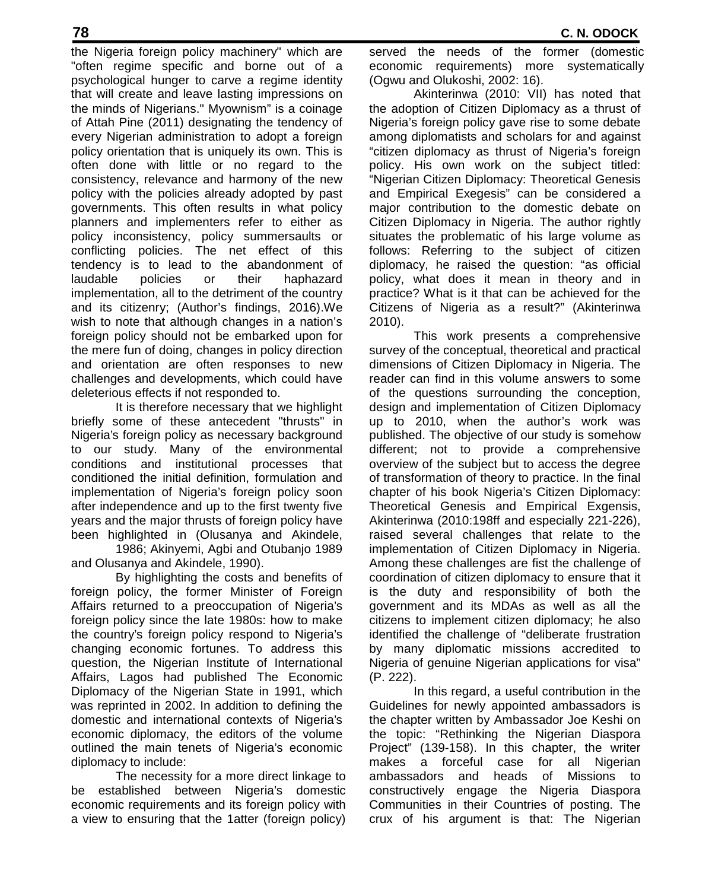the Nigeria foreign policy machinery" which are "often regime specific and borne out of a psychological hunger to carve a regime identity that will create and leave lasting impressions on the minds of Nigerians." Myownism" is a coinage of Attah Pine (2011) designating the tendency of every Nigerian administration to adopt a foreign policy orientation that is uniquely its own. This is often done with little or no regard to the consistency, relevance and harmony of the new policy with the policies already adopted by past governments. This often results in what policy planners and implementers refer to either as policy inconsistency, policy summersaults or conflicting policies. The net effect of this tendency is to lead to the abandonment of laudable policies or their haphazard implementation, all to the detriment of the country and its citizenry; (Author's findings, 2016).We wish to note that although changes in a nation's foreign policy should not be embarked upon for the mere fun of doing, changes in policy direction and orientation are often responses to new challenges and developments, which could have deleterious effects if not responded to.

It is therefore necessary that we highlight briefly some of these antecedent "thrusts" in Nigeria's foreign policy as necessary background to our study. Many of the environmental conditions and institutional processes that conditioned the initial definition, formulation and implementation of Nigeria's foreign policy soon after independence and up to the first twenty five years and the major thrusts of foreign policy have been highlighted in (Olusanya and Akindele,

1986; Akinyemi, Agbi and Otubanjo 1989 and Olusanya and Akindele, 1990).

By highlighting the costs and benefits of foreign policy, the former Minister of Foreign Affairs returned to a preoccupation of Nigeria's foreign policy since the late 1980s: how to make the country's foreign policy respond to Nigeria's changing economic fortunes. To address this question, the Nigerian Institute of International Affairs, Lagos had published The Economic Diplomacy of the Nigerian State in 1991, which was reprinted in 2002. In addition to defining the domestic and international contexts of Nigeria's economic diplomacy, the editors of the volume outlined the main tenets of Nigeria's economic diplomacy to include:

The necessity for a more direct linkage to ambassadors be established between Nigeria's domestic economic requirements and its foreign policy with a view to ensuring that the 1atter (foreign policy)

served the needs of the former (domestic economic requirements) more systematically (Ogwu and Olukoshi, 2002: 16).

Akinterinwa (2010: VII) has noted that the adoption of Citizen Diplomacy as a thrust of Nigeria's foreign policy gave rise to some debate among diplomatists and scholars for and against "citizen diplomacy as thrust of Nigeria's foreign policy. His own work on the subject titled: "Nigerian Citizen Diplomacy: Theoretical Genesis and Empirical Exegesis" can be considered a major contribution to the domestic debate on Citizen Diplomacy in Nigeria. The author rightly situates the problematic of his large volume as follows: Referring to the subject of citizen diplomacy, he raised the question: "as official policy, what does it mean in theory and in practice? What is it that can be achieved for the Citizens of Nigeria as a result?" (Akinterinwa 2010).

This work presents a comprehensive survey of the conceptual, theoretical and practical dimensions of Citizen Diplomacy in Nigeria. The reader can find in this volume answers to some of the questions surrounding the conception, design and implementation of Citizen Diplomacy up to 2010, when the author's work was published. The objective of our study is somehow different; not to provide a comprehensive overview of the subject but to access the degree of transformation of theory to practice. In the final chapter of his book Nigeria's Citizen Diplomacy: Theoretical Genesis and Empirical Exgensis, Akinterinwa (2010:198ff and especially 221-226), raised several challenges that relate to the implementation of Citizen Diplomacy in Nigeria. Among these challenges are fist the challenge of coordination of citizen diplomacy to ensure that it is the duty and responsibility of both the government and its MDAs as well as all the citizens to implement citizen diplomacy; he also identified the challenge of "deliberate frustration by many diplomatic missions accredited to Nigeria of genuine Nigerian applications for visa" (P. 222).

In this regard, a useful contribution in the Guidelines for newly appointed ambassadors is the chapter written by Ambassador Joe Keshi on the topic: "Rethinking the Nigerian Diaspora Project" (139-158). In this chapter, the writer makes a forceful case for all Nigerian and heads of Missions to constructively engage the Nigeria Diaspora Communities in their Countries of posting. The crux of his argument is that: The Nigerian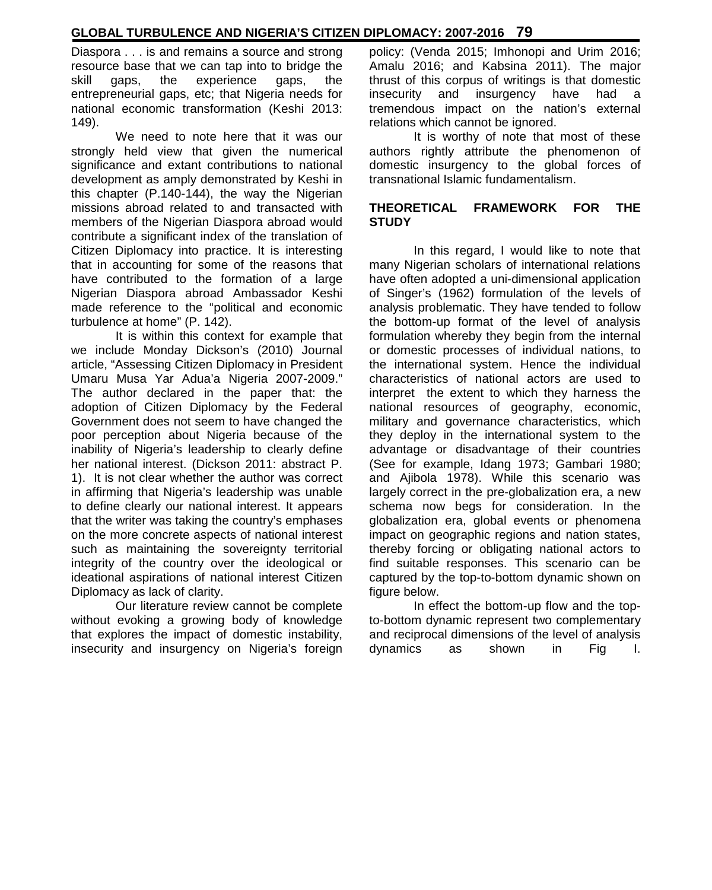## **GLOBAL TURBULENCE AND NIGERIA'S CITIZEN DIPLOMACY: 2007-2016 79**

Diaspora . . . is and remains a source and strong resource base that we can tap into to bridge the skill gaps, the experience gaps, the entrepreneurial gaps, etc; that Nigeria needs for national economic transformation (Keshi 2013: 149).

We need to note here that it was our strongly held view that given the numerical significance and extant contributions to national development as amply demonstrated by Keshi in this chapter (P.140-144), the way the Nigerian missions abroad related to and transacted with THEORETICAL members of the Nigerian Diaspora abroad would contribute a significant index of the translation of Citizen Diplomacy into practice. It is interesting that in accounting for some of the reasons that have contributed to the formation of a large Nigerian Diaspora abroad Ambassador Keshi made reference to the "political and economic turbulence at home" (P. 142).

It is within this context for example that we include Monday Dickson's (2010) Journal article, "Assessing Citizen Diplomacy in President Umaru Musa Yar Adua'a Nigeria 2007-2009." The author declared in the paper that: the adoption of Citizen Diplomacy by the Federal Government does not seem to have changed the poor perception about Nigeria because of the inability of Nigeria's leadership to clearly define her national interest. (Dickson 2011: abstract P. 1). It is not clear whether the author was correct in affirming that Nigeria's leadership was unable to define clearly our national interest. It appears that the writer was taking the country's emphases on the more concrete aspects of national interest such as maintaining the sovereignty territorial integrity of the country over the ideological or ideational aspirations of national interest Citizen Diplomacy as lack of clarity.

Our literature review cannot be complete without evoking a growing body of knowledge that explores the impact of domestic instability, insecurity and insurgency on Nigeria's foreign

policy: (Venda 2015; Imhonopi and Urim 2016; Amalu 2016; and Kabsina 2011). The major thrust of this corpus of writings is that domestic insecurity and insurgency have had a tremendous impact on the nation's external relations which cannot be ignored.

It is worthy of note that most of these authors rightly attribute the phenomenon of domestic insurgency to the global forces of transnational Islamic fundamentalism.

#### FRAMEWORK FOR THE **STUDY**

In this regard, I would like to note that many Nigerian scholars of international relations have often adopted a uni-dimensional application of Singer's (1962) formulation of the levels of analysis problematic. They have tended to follow the bottom-up format of the level of analysis formulation whereby they begin from the internal or domestic processes of individual nations, to the international system. Hence the individual characteristics of national actors are used to interpret the extent to which they harness the national resources of geography, economic, military and governance characteristics, which they deploy in the international system to the advantage or disadvantage of their countries (See for example, Idang 1973; Gambari 1980; and Ajibola 1978). While this scenario was largely correct in the pre-globalization era, a new schema now begs for consideration. In the globalization era, global events or phenomena impact on geographic regions and nation states, thereby forcing or obligating national actors to find suitable responses. This scenario can be captured by the top-to-bottom dynamic shown on figure below.

In effect the bottom-up flow and the topto-bottom dynamic represent two complementary and reciprocal dimensions of the level of analysis dynamics as shown in Fig I.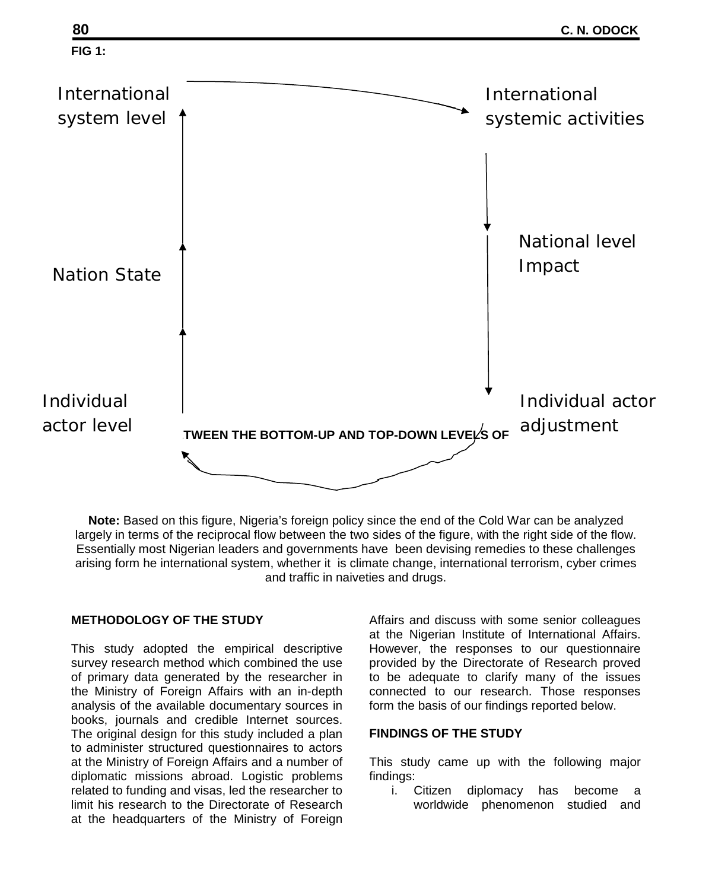

**Note:** Based on this figure, Nigeria's foreign policy since the end of the Cold War can be analyzed largely in terms of the reciprocal flow between the two sides of the figure, with the right side of the flow. Essentially most Nigerian leaders and governments have been devising remedies to these challenges arising form he international system, whether it is climate change, international terrorism, cyber crimes and traffic in naiveties and drugs.

#### **METHODOLOGY OF THE STUDY**

This study adopted the empirical descriptive survey research method which combined the use of primary data generated by the researcher in the Ministry of Foreign Affairs with an in-depth analysis of the available documentary sources in books, journals and credible Internet sources. The original design for this study included a plan to administer structured questionnaires to actors at the Ministry of Foreign Affairs and a number of diplomatic missions abroad. Logistic problems related to funding and visas, led the researcher to limit his research to the Directorate of Research at the headquarters of the Ministry of Foreign

Affairs and discuss with some senior colleagues at the Nigerian Institute of International Affairs. However, the responses to our questionnaire provided by the Directorate of Research proved to be adequate to clarify many of the issues connected to our research. Those responses form the basis of our findings reported below.

#### **FINDINGS OF THE STUDY**

This study came up with the following major findings:

i. Citizen diplomacy has become a worldwide phenomenon studied and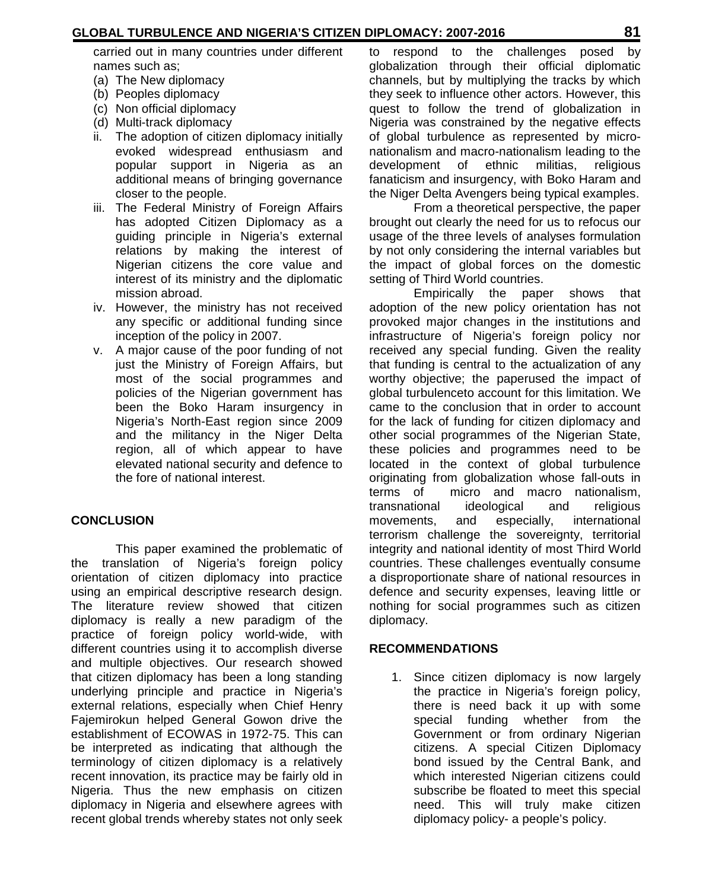carried out in many countries under different names such as;

- (a) The New diplomacy
- (b) Peoples diplomacy
- (c) Non official diplomacy
- (d) Multi-track diplomacy
- ii. The adoption of citizen diplomacy initially evoked widespread enthusiasm and popular support in Nigeria as an additional means of bringing governance closer to the people.
- iii. The Federal Ministry of Foreign Affairs has adopted Citizen Diplomacy as a guiding principle in Nigeria's external relations by making the interest of Nigerian citizens the core value and interest of its ministry and the diplomatic mission abroad.
- iv. However, the ministry has not received any specific or additional funding since inception of the policy in 2007.
- v. A major cause of the poor funding of not just the Ministry of Foreign Affairs, but most of the social programmes and policies of the Nigerian government has been the Boko Haram insurgency in Nigeria's North-East region since 2009 and the militancy in the Niger Delta region, all of which appear to have elevated national security and defence to the fore of national interest.

## **CONCLUSION**

This paper examined the problematic of the translation of Nigeria's foreign policy orientation of citizen diplomacy into practice using an empirical descriptive research design. The literature review showed that citizen diplomacy is really a new paradigm of the practice of foreign policy world-wide, with different countries using it to accomplish diverse and multiple objectives. Our research showed that citizen diplomacy has been a long standing underlying principle and practice in Nigeria's external relations, especially when Chief Henry Fajemirokun helped General Gowon drive the establishment of ECOWAS in 1972-75. This can be interpreted as indicating that although the terminology of citizen diplomacy is a relatively recent innovation, its practice may be fairly old in Nigeria. Thus the new emphasis on citizen diplomacy in Nigeria and elsewhere agrees with recent global trends whereby states not only seek to respond to the challenges posed by globalization through their official diplomatic channels, but by multiplying the tracks by which they seek to influence other actors. However, this quest to follow the trend of globalization in Nigeria was constrained by the negative effects of global turbulence as represented by micro nationalism and macro-nationalism leading to the development of ethnic militias, religious fanaticism and insurgency, with Boko Haram and the Niger Delta Avengers being typical examples.

From a theoretical perspective, the paper brought out clearly the need for us to refocus our usage of the three levels of analyses formulation by not only considering the internal variables but the impact of global forces on the domestic setting of Third World countries.

Empirically the paper shows that adoption of the new policy orientation has not provoked major changes in the institutions and infrastructure of Nigeria's foreign policy nor received any special funding. Given the reality that funding is central to the actualization of any worthy objective; the paperused the impact of global turbulenceto account for this limitation. We came to the conclusion that in order to account for the lack of funding for citizen diplomacy and other social programmes of the Nigerian State, these policies and programmes need to be located in the context of global turbulence originating from globalization whose fall-outs in terms of micro and macro nationalism, transnational ideological and religious movements, and especially, international terrorism challenge the sovereignty, territorial integrity and national identity of most Third World countries. These challenges eventually consume a disproportionate share of national resources in defence and security expenses, leaving little or nothing for social programmes such as citizen diplomacy.

#### **RECOMMENDATIONS**

1. Since citizen diplomacy is now largely the practice in Nigeria's foreign policy, there is need back it up with some special funding whether from the Government or from ordinary Nigerian citizens. A special Citizen Diplomacy bond issued by the Central Bank, and which interested Nigerian citizens could subscribe be floated to meet this special need. This will truly make citizen diplomacy policy- a people's policy.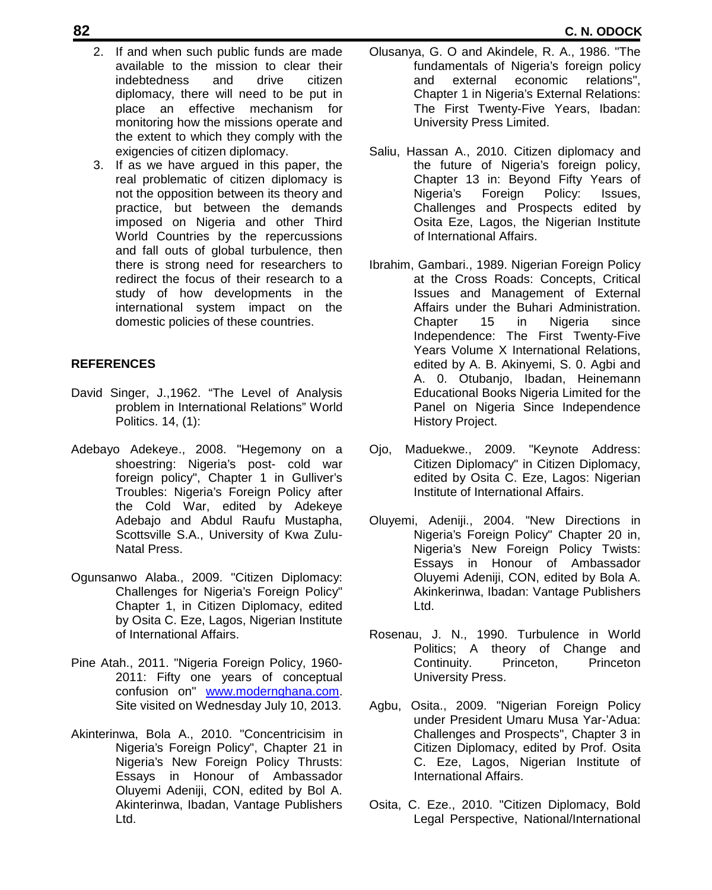- 2. If and when such public funds are made available to the mission to clear their indebtedness and drive citizen diplomacy, there will need to be put in place an effective mechanism for monitoring how the missions operate and the extent to which they comply with the exigencies of citizen diplomacy.
- 3. If as we have argued in this paper, the real problematic of citizen diplomacy is not the opposition between its theory and practice, but between the demands imposed on Nigeria and other Third World Countries by the repercussions and fall outs of global turbulence, then there is strong need for researchers to redirect the focus of their research to a study of how developments in the international system impact on the domestic policies of these countries.

## **REFERENCES**

- David Singer, J.,1962. "The Level of Analysis problem in International Relations" World Politics. 14, (1):
- Adebayo Adekeye., 2008. "Hegemony on a shoestring: Nigeria's post- cold war foreign policy", Chapter 1 in Gulliver's Troubles: Nigeria's Foreign Policy after the Cold War, edited by Adekeye Adebajo and Abdul Raufu Mustapha, Scottsville S.A., University of Kwa Zulu- Natal Press.
- Ogunsanwo Alaba., 2009. "Citizen Diplomacy: Challenges for Nigeria's Foreign Policy" Chapter 1, in Citizen Diplomacy, edited by Osita C. Eze, Lagos, Nigerian Institute of International Affairs.
- Pine Atah., 2011. "Nigeria Foreign Policy, 1960- 2011: Fifty one years of conceptual confusion on" www.modernghana.com. Site visited on Wednesday July 10, 2013.
- Akinterinwa, Bola A., 2010. "Concentricisim in Nigeria's Foreign Policy", Chapter 21 in Nigeria's New Foreign Policy Thrusts: Essays in Honour of Ambassador Oluyemi Adeniji, CON, edited by Bol A. Akinterinwa, Ibadan, Vantage Publishers Ltd.
- Olusanya, G. O and Akindele, R. A., 1986. "The fundamentals of Nigeria's foreign policy and external economic relations", Chapter 1 in Nigeria's External Relations: The First Twenty-Five Years, Ibadan: University Press Limited.
- Saliu, Hassan A., 2010. Citizen diplomacy and the future of Nigeria's foreign policy, Chapter 13 in: Beyond Fifty Years of Nigeria's Foreign Policy: Issues, Challenges and Prospects edited by Osita Eze, Lagos, the Nigerian Institute of International Affairs.
- Ibrahim, Gambari., 1989. Nigerian Foreign Policy at the Cross Roads: Concepts, Critical Issues and Management of External Affairs under the Buhari Administration. Chapter 15 in Nigeria since Independence: The First Twenty-Five Years Volume X International Relations, edited by A. B. Akinyemi, S. 0. Agbi and A. 0. Otubanjo, Ibadan, Heinemann Educational Books Nigeria Limited for the Panel on Nigeria Since Independence History Project.
- Maduekwe., 2009. "Keynote Address: Citizen Diplomacy" in Citizen Diplomacy, edited by Osita C. Eze, Lagos: Nigerian Institute of International Affairs.
- Oluyemi, Adeniji., 2004. "New Directions in Nigeria's Foreign Policy" Chapter 20 in, Nigeria's New Foreign Policy Twists: Essays in Honour of Ambassador Oluyemi Adeniji, CON, edited by Bola A. Akinkerinwa, Ibadan: Vantage Publishers Ltd.
- Rosenau, J. N., 1990. Turbulence in World Politics; A theory of Change and Continuity. Princeton, Princeton University Press.
- Agbu, Osita., 2009. "Nigerian Foreign Policy under President Umaru Musa Yar-'Adua: Challenges and Prospects", Chapter 3 in Citizen Diplomacy, edited by Prof. Osita C. Eze, Lagos, Nigerian Institute of International Affairs.
- Osita, C. Eze., 2010. "Citizen Diplomacy, Bold Legal Perspective, National/International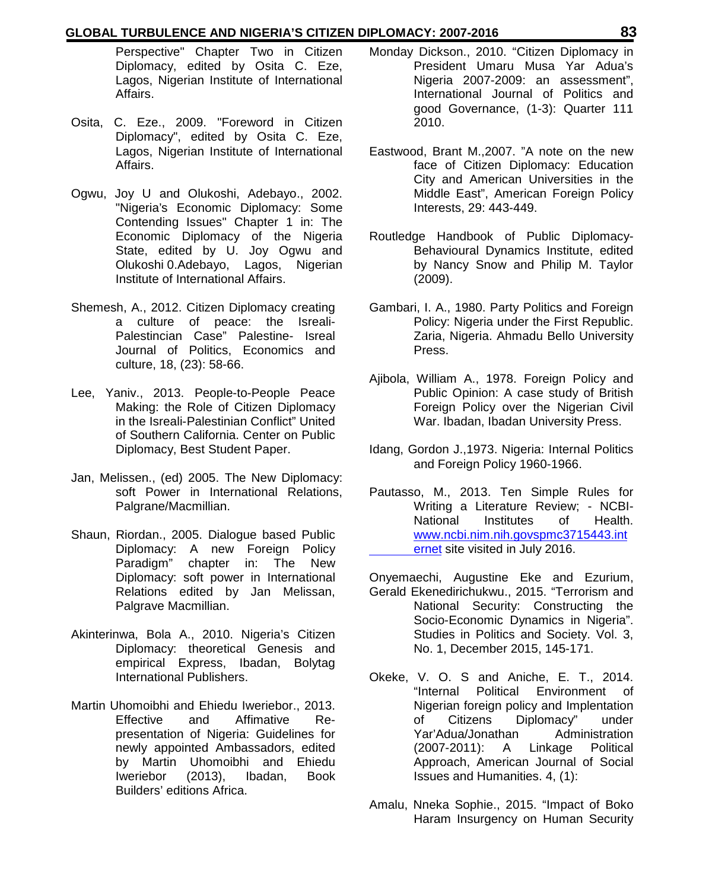## **GLOBAL TURBULENCE AND NIGERIA'S CITIZEN DIPLOMACY: 2007-2016 83**

Perspective" Chapter Two in Citizen Diplomacy, edited by Osita C. Eze, Lagos, Nigerian Institute of International Affairs.

- Osita, C. Eze., 2009. "Foreword in Citizen Diplomacy", edited by Osita C. Eze, Lagos, Nigerian Institute of International Affairs.
- Ogwu, Joy U and Olukoshi, Adebayo., 2002. "Nigeria's Economic Diplomacy: Some Contending Issues" Chapter 1 in: The Economic Diplomacy of the Nigeria State, edited by U. Joy Ogwu and Olukoshi 0.Adebayo, Lagos, Nigerian Institute of International Affairs.
- Shemesh, A., 2012. Citizen Diplomacy creating a culture of peace: the Isreali- Palestincian Case" Palestine- Isreal Journal of Politics, Economics and culture, 18, (23): 58-66.
- Lee, Yaniv., 2013. People-to-People Peace Making: the Role of Citizen Diplomacy in the Isreali-Palestinian Conflict" United of Southern California. Center on Public Diplomacy, Best Student Paper.
- Jan, Melissen., (ed) 2005. The New Diplomacy: soft Power in International Relations, Palgrane/Macmillian.
- Shaun, Riordan., 2005. Dialogue based Public Diplomacy: A new Foreign Policy Paradigm" chapter in: The New Diplomacy: soft power in International Relations edited by Jan Melissan, Palgrave Macmillian.
- Akinterinwa, Bola A., 2010. Nigeria's Citizen Diplomacy: theoretical Genesis and empirical Express, Ibadan, Bolytag International Publishers.
- Martin Uhomoibhi and Ehiedu Iweriebor., 2013. Effective and Affimative Re presentation of Nigeria: Guidelines for newly appointed Ambassadors, edited by Martin Uhomoibhi and Ehiedu<br>Iweriebor (2013), Ibadan, Book Iweriebor (2013), Ibadan, Book Builders' editions Africa.
- Monday Dickson., 2010. "Citizen Diplomacy in President Umaru Musa Yar Adua's Nigeria 2007-2009: an assessment", International Journal of Politics and good Governance, (1-3): Quarter 111 2010.
- Eastwood, Brant M.,2007. "A note on the new face of Citizen Diplomacy: Education City and American Universities in the Middle East", American Foreign Policy Interests, 29: 443-449.
- Routledge Handbook of Public Diplomacy- Behavioural Dynamics Institute, edited by Nancy Snow and Philip M. Taylor (2009).
- Gambari, I. A., 1980. Party Politics and Foreign Policy: Nigeria under the First Republic. Zaria, Nigeria. Ahmadu Bello University Press.
- Ajibola, William A., 1978. Foreign Policy and Public Opinion: A case study of British Foreign Policy over the Nigerian Civil War. Ibadan, Ibadan University Press.
- Idang, Gordon J.,1973. Nigeria: Internal Politics and Foreign Policy 1960-1966.
- Pautasso, M., 2013. Ten Simple Rules for Writing a Literature Review; - NCBI- National Institutes of Health. www.ncbi.nim.nih.govspmc3715443.int ernet site visited in July 2016.
- Onyemaechi, Augustine Eke and Ezurium, Gerald Ekenedirichukwu., 2015. "Terrorism and National Security: Constructing the Socio-Economic Dynamics in Nigeria". Studies in Politics and Society. Vol. 3, No. 1, December 2015, 145-171.
- Okeke, V. O. S and Aniche, E. T., 2014. "Internal Political Environment of Nigerian foreign policy and Implentation of Citizens Diplomacy" under Yar'Adua/Jonathan Administration (2007-2011): A Linkage Political Approach, American Journal of Social Issues and Humanities. 4, (1):
- Amalu, Nneka Sophie., 2015. "Impact of Boko Haram Insurgency on Human Security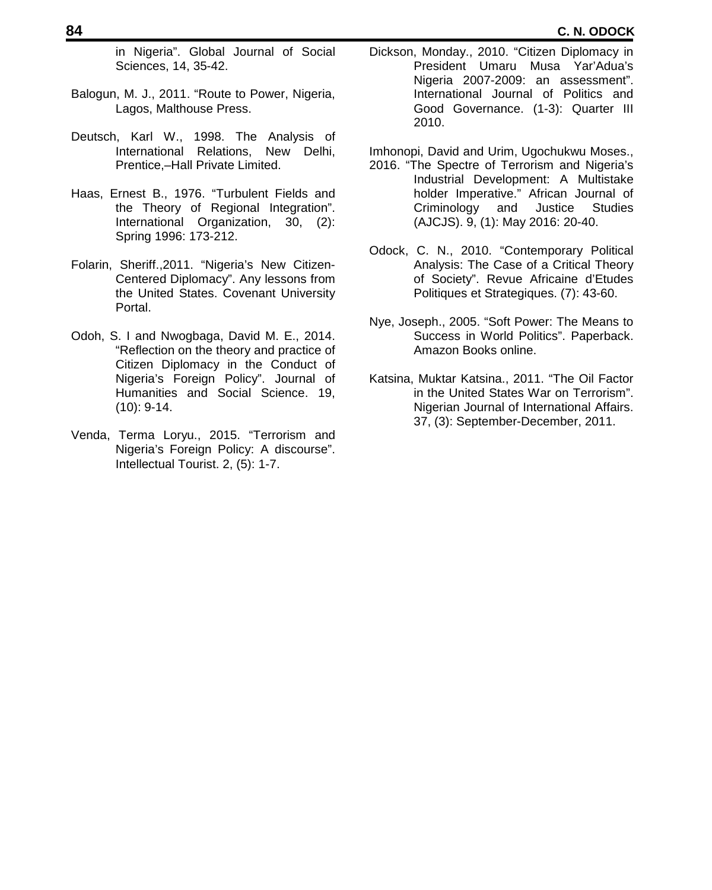in Nigeria". Global Journal of Social Sciences, 14, 35-42.

- Balogun, M. J., 2011. "Route to Power, Nigeria, Lagos, Malthouse Press.
- Deutsch, Karl W., 1998. The Analysis of International Relations, New Delhi, Prentice,–Hall Private Limited.
- Haas, Ernest B., 1976. "Turbulent Fields and the Theory of Regional Integration". International Organization, 30, (2): Spring 1996: 173-212.
- Folarin, Sheriff.,2011. "Nigeria's New Citizen- Centered Diplomacy". Any lessons from the United States. Covenant University Portal.
- Odoh, S. I and Nwogbaga, David M. E., 2014. "Reflection on the theory and practice of Citizen Diplomacy in the Conduct of Nigeria's Foreign Policy". Journal of Humanities and Social Science. 19, (10): 9-14.
- Venda, Terma Loryu., 2015. "Terrorism and Nigeria's Foreign Policy: A discourse". Intellectual Tourist. 2, (5): 1-7.
- Dickson, Monday., 2010. "Citizen Diplomacy in President Umaru Musa Yar'Adua's Nigeria 2007-2009: an assessment". International Journal of Politics and Good Governance. (1-3): Quarter III 2010.
- Imhonopi, David and Urim, Ugochukwu Moses.,
- 2016. "The Spectre of Terrorism and Nigeria's Industrial Development: A Multistake holder Imperative." African Journal of Criminology and Justice Studies (AJCJS). 9, (1): May 2016: 20-40.
- Odock, C. N., 2010. "Contemporary Political Analysis: The Case of a Critical Theory of Society". Revue Africaine d'Etudes Politiques et Strategiques. (7): 43-60.
- Nye, Joseph., 2005. "Soft Power: The Means to Success in World Politics". Paperback. Amazon Books online.
- Katsina, Muktar Katsina., 2011. "The Oil Factor in the United States War on Terrorism". Nigerian Journal of International Affairs. 37, (3): September-December, 2011.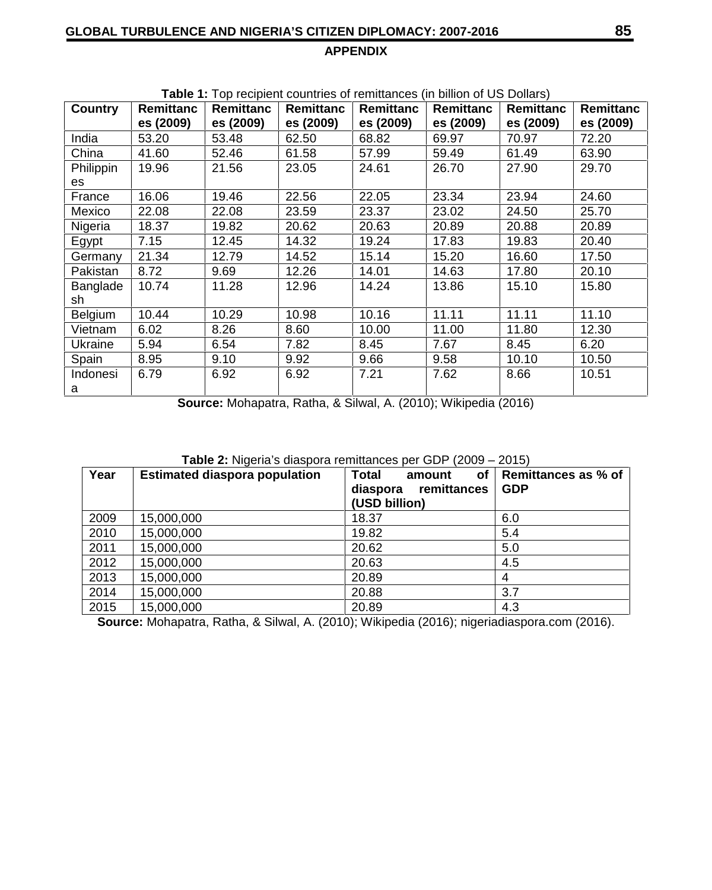## **APPENDIX**

| <b>Table 1:</b> Top recipient countries of remittances (in billion of US Dollars)<br>Remittanc<br>Remittanc<br>Remittanc<br>Remittanc<br><b>Remittanc</b><br><b>Country</b><br><b>Remittanc</b> |           |           |           |           |           | <b>Remittanc</b> |           |
|-------------------------------------------------------------------------------------------------------------------------------------------------------------------------------------------------|-----------|-----------|-----------|-----------|-----------|------------------|-----------|
|                                                                                                                                                                                                 | es (2009) | es (2009) | es (2009) | es (2009) | es (2009) | es (2009)        | es (2009) |
| India                                                                                                                                                                                           | 53.20     | 53.48     | 62.50     | 68.82     | 69.97     | 70.97            | 72.20     |
| China                                                                                                                                                                                           | 41.60     | 52.46     | 61.58     | 57.99     | 59.49     | 61.49            | 63.90     |
| Philippin                                                                                                                                                                                       | 19.96     | 21.56     | 23.05     | 24.61     | 26.70     | 27.90            | 29.70     |
| es                                                                                                                                                                                              |           |           |           |           |           |                  |           |
| France                                                                                                                                                                                          | 16.06     | 19.46     | 22.56     | 22.05     | 23.34     | 23.94            | 24.60     |
| Mexico                                                                                                                                                                                          | 22.08     | 22.08     | 23.59     | 23.37     | 23.02     | 24.50            | 25.70     |
| Nigeria                                                                                                                                                                                         | 18.37     | 19.82     | 20.62     | 20.63     | 20.89     | 20.88            | 20.89     |
| Egypt                                                                                                                                                                                           | 7.15      | 12.45     | 14.32     | 19.24     | 17.83     | 19.83            | 20.40     |
| Germany                                                                                                                                                                                         | 21.34     | 12.79     | 14.52     | 15.14     | 15.20     | 16.60            | 17.50     |
| Pakistan                                                                                                                                                                                        | 8.72      | 9.69      | 12.26     | 14.01     | 14.63     | 17.80            | 20.10     |
| Banglade                                                                                                                                                                                        | 10.74     | 11.28     | 12.96     | 14.24     | 13.86     | 15.10            | 15.80     |
| sh                                                                                                                                                                                              |           |           |           |           |           |                  |           |
| Belgium                                                                                                                                                                                         | 10.44     | 10.29     | 10.98     | 10.16     | 11.11     | 11.11            | 11.10     |
| Vietnam                                                                                                                                                                                         | 6.02      | 8.26      | 8.60      | 10.00     | 11.00     | 11.80            | 12.30     |
| Ukraine                                                                                                                                                                                         | 5.94      | 6.54      | 7.82      | 8.45      | 7.67      | 8.45             | 6.20      |
| Spain                                                                                                                                                                                           | 8.95      | 9.10      | 9.92      | 9.66      | 9.58      | 10.10            | 10.50     |
| Indonesi<br>a                                                                                                                                                                                   | 6.79      | 6.92      | 6.92      | 7.21      | 7.62      | 8.66             | 10.51     |

**Table 1:** Top recipient countries of remittances (in billion of US Dollars)

**Source:** Mohapatra, Ratha, & Silwal, A. (2010); Wikipedia (2016)

| Table 2: Nigeria's diaspora remittances per GDP (2009 – 2015) |  |
|---------------------------------------------------------------|--|
|---------------------------------------------------------------|--|

| Year | <b>Estimated diaspora population</b> | Total<br>οf<br>amount<br>diaspora<br>remittances<br>(USD billion) | Remittances as % of<br><b>GDP</b> |
|------|--------------------------------------|-------------------------------------------------------------------|-----------------------------------|
| 2009 | 15,000,000                           | 18.37                                                             | 6.0                               |
| 2010 | 15,000,000                           | 19.82                                                             | 5.4                               |
| 2011 | 15,000,000                           | 20.62                                                             | 5.0                               |
| 2012 | 15,000,000                           | 20.63                                                             | 4.5                               |
| 2013 | 15,000,000                           | 20.89                                                             | 4                                 |
| 2014 | 15,000,000                           | 20.88                                                             | 3.7                               |
| 2015 | 15,000,000                           | 20.89                                                             | 4.3                               |

**Source:** Mohapatra, Ratha, & Silwal, A. (2010); Wikipedia (2016); nigeriadiaspora.com (2016).